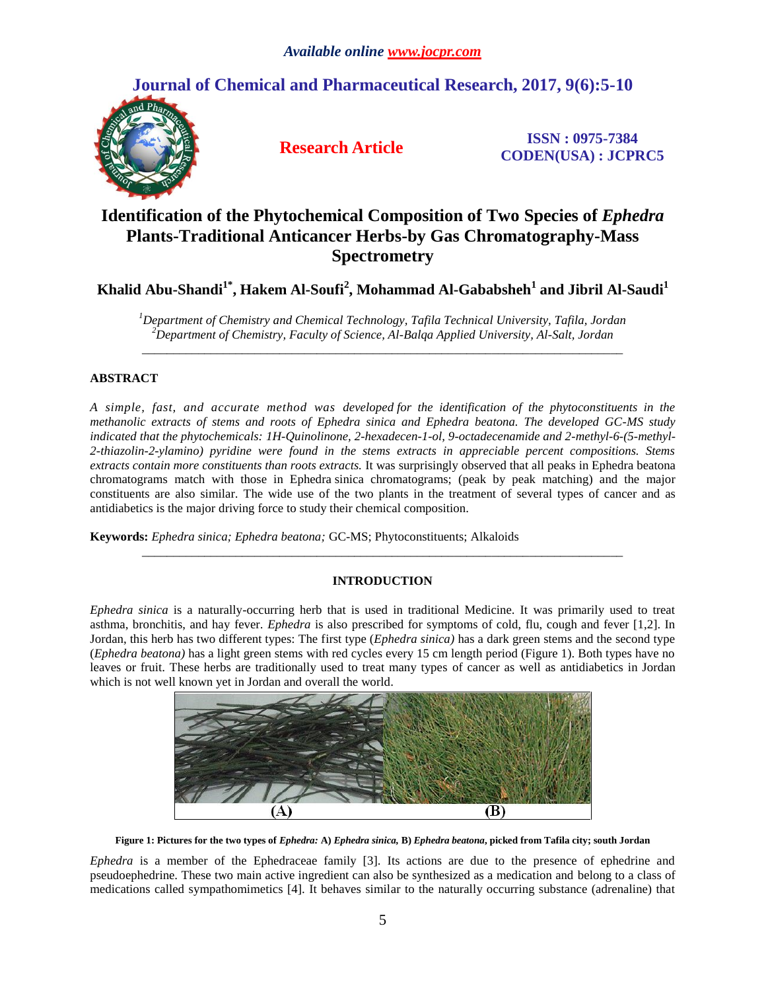# **Journal of Chemical and Pharmaceutical Research, 2017, 9(6):5-10**



**Research Article ISSN : 0975-7384 CODEN(USA) : JCPRC5**

# **Identification of the Phytochemical Composition of Two Species of** *Ephedra*  **Plants-Traditional Anticancer Herbs-by Gas Chromatography-Mass Spectrometry**

**Khalid Abu-Shandi1\* , Hakem Al-Soufi<sup>2</sup> , Mohammad Al-Gababsheh<sup>1</sup> and Jibril Al-Saudi<sup>1</sup>**

*<sup>1</sup>Department of Chemistry and Chemical Technology, Tafila Technical University, Tafila, Jordan <sup>2</sup>Department of Chemistry, Faculty of Science, Al-Balqa Applied University, Al-Salt, Jordan* \_\_\_\_\_\_\_\_\_\_\_\_\_\_\_\_\_\_\_\_\_\_\_\_\_\_\_\_\_\_\_\_\_\_\_\_\_\_\_\_\_\_\_\_\_\_\_\_\_\_\_\_\_\_\_\_\_\_\_\_\_\_\_\_\_\_\_\_\_\_\_\_\_\_\_\_\_

# **ABSTRACT**

*A simple, fast, and accurate method was developed for the identification of the phytoconstituents in the methanolic extracts of stems and roots of Ephedra sinica and Ephedra beatona. The developed GC-MS study indicated that the phytochemicals: 1H-Quinolinone, 2-hexadecen-1-ol, 9-octadecenamide and 2-methyl-6-(5-methyl-2-thiazolin-2-ylamino) pyridine were found in the stems extracts in appreciable percent compositions. Stems extracts contain more constituents than roots extracts.* It was surprisingly observed that all peaks in Ephedra beatona chromatograms match with those in Ephedra sinica chromatograms; (peak by peak matching) and the major constituents are also similar. The wide use of the two plants in the treatment of several types of cancer and as antidiabetics is the major driving force to study their chemical composition.

**Keywords:** *Ephedra sinica; Ephedra beatona;* GC-MS; Phytoconstituents; Alkaloids

# **INTRODUCTION**

\_\_\_\_\_\_\_\_\_\_\_\_\_\_\_\_\_\_\_\_\_\_\_\_\_\_\_\_\_\_\_\_\_\_\_\_\_\_\_\_\_\_\_\_\_\_\_\_\_\_\_\_\_\_\_\_\_\_\_\_\_\_\_\_\_\_\_\_\_\_\_\_\_\_\_\_\_

*Ephedra sinica* is a naturally-occurring herb that is used in traditional Medicine. It was primarily used to treat asthma, bronchitis, and hay fever. *Ephedra* is also prescribed for symptoms of cold, flu, cough and fever [1,2]. In Jordan, this herb has two different types: The first type (*Ephedra sinica)* has a dark green stems and the second type (*Ephedra beatona)* has a light green stems with red cycles every 15 cm length period (Figure 1). Both types have no leaves or fruit. These herbs are traditionally used to treat many types of cancer as well as antidiabetics in Jordan which is not well known yet in Jordan and overall the world.



**Figure 1: Pictures for the two types of** *Ephedra:* **A)** *Ephedra sinica,* **B)** *Ephedra beatona***, picked from Tafila city; south Jordan**

*Ephedra* is a member of the Ephedraceae family [3]. Its actions are due to the presence of ephedrine and pseudoephedrine. These two main active ingredient can also be synthesized as a medication and belong to a class of medications called sympathomimetics [4]. It behaves similar to the naturally occurring substance (adrenaline) that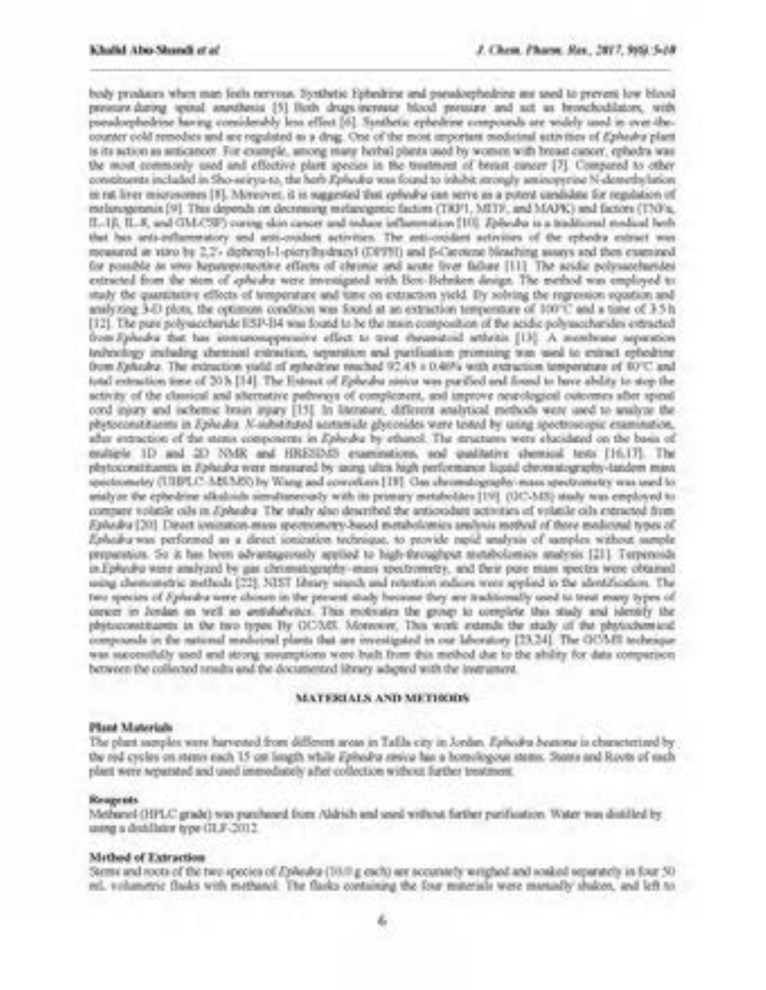body produces when man feels nervous. Evribetic Ephedrine and pseudoephedrine are sted to prevent fow blood pressure during spinal amenhesis [5] Both drugs-increase blood pressure and set as bronchodilators, with pseadoophodrine having considerably less effect [6]. Santhetic ephedrine compounds are widely used in over-thecounter cold remodues and are regulated as a drag. One of the most important modeinal activities of d'avenira plant is its action as anticancer. For example, among many herbal plants used by women with fresse cancer, ephedra was the most comparaly used and effective plant species in the tradment of becast cancer [7]. Compared to other constituents included in Sho-seirys-to, the horb Ephydro you found to inhibit strongly aminopyring N-demethylation et rat liver microsomes [3]. Moreover, it is suggested that celectra can serve as a potent candidate for regulation of inelanogenmis [9]. This depends on decreasing melanogenic factors (TRF1, MITF, and MAPK) and factors (TNFs, IL-1ß. IL-8, and GMA(SF) curing skin cancer and tedace influentation [10]. Zobedra is a traditional medical brob. that has anti-influenzatory and anti-coolect activities. The anti-coolect activities of the ephedra extract was mousured as vitro by 2.2'- diphered-1-picryBydragy1 (DPPH) and B-Carotene bleaching susays and then examined. for possible in vivo hepateprotective effects of chrenic and acute fivor failure [11]. The acidic polysaceburides extracted from the stem of cohears were investigated with Box-Behrken design. The method was employed to study the quantitative effects of temperature and time on extraction yield. By solving the regression segustion and analyzing 3-D plots, the optimum condition was found at an extraction temperature of 100°C and a time of 3.5 h [32]. The pare polysaccharide ESP-B4 was found to be the mass composition of the acidic polysaccharides extracted from Ephadra that has investment-pressure effect to treat shoundroid arthritis [13]. A monitorany separation tedevilory including chemical extraction, servestion and partficulism promising was used to extract ephodring from Sahadra. The extraction yield of systemer reached 92.45 x 0.46% with extraction temperature of 80°C and total estimation time of 20 h [14]. The Estone of Epheaku states was purified and found to have ability to stop the activity of the classical and alternative pathways of complement, and improve newological outcomes after spinul cord injury and ischemic brain injury [15]. In Increase, different analytical methods were used to analyze the physioconstituents in Ephedia. N-substituted sestamide glyconides were tested by using spectroscopic examination, after intraction of the stees components in Ephedra by ethanol. The structures were elacidated on the basis of entique 1D and 2D NMR and HRESDAS examinations, and qualitative chemical tests [16.17]. The phytoconstituents in fiphedia were measured by using ultra high performance liquid chromstography-tandom mass. spectrometry (UEB/LC-3dS320) by Visea and converters [19]. Con electromatography-mass spectrumates was used to analyze the ephedrine alkaloids simultaneously with its primary metabolites [19]. (OC-348) study was employed to compare volatile oils in Ephedya The study also described the autorodust activities of volatile oils extracted firm Ephodys [20]: Dieact ionization-mass spectrometry-based metabolomics analysis mothed of three medicinal tenes of Ethaba was performed as a deset ionization technique, to provide need unalysis of samples without sumple. preparation. So it has been advantageously applied to high-throughput stetabolomies analysis [21]. Terpensids in Ephydra were analyzed by gas chromstogenotes-mass spectrometry, and their pure mass spectra were obtained using chemometric inethods [22]. NEST Idusry search and retention induces were spylied to the identification. The two species of Ephedra were chosen in the prevest study because they are traditionally used to treat many types of inever in Jordan as well as antidiabeles. This motivates the group to complete this study and identify the phytoconstituents in the two types Hy OCAIX. Moreover, This work extends the study of the phytochemical compounds in the national medicinal plants that are investigated in our laboratory [23,24]. The OC54S technique was successfully used and strong sovereptions were built from this method due to the ability for data companison between the collected neadta and the documented library adapted with the inversment.

#### MATERIALS AND METHODS.

#### Plant Materials

The plant samples were harvested from different aroas in Tafila city in Jordan. Esbesiba beatons is characterized by the red cycles on stears each 15 on longth while Ephodra nisiva has a homologous stears. Ston's and Royts of each plant were repairated and used immediately after collection without further treatment.

## Responds.

Methanol (HPLC grade) was purchased from Aldrich and sead without forther parification. Water was distilled by using a dealthing type (ILF-2012)

#### Method of Extraction

Sterns and roots of the two species of Ephedra (1010 g exch) are securitely wrighed and souled separately in four 50 ml. vehancric flasks with methanol. The flasks containing the four minerials were munially shaken, and left to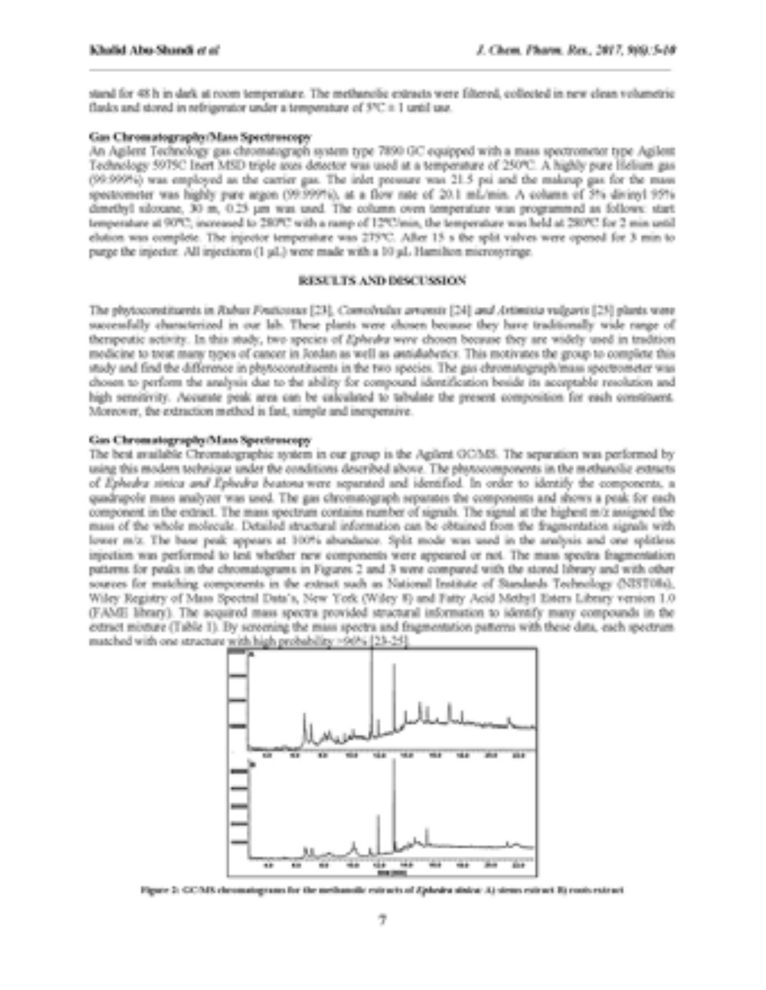stand for 48 h in dark at room temperature. The methanolic extracts were filtered, collected in new clean volumetric fludes and stored in refrigerator under a temperature of 5°C it 1 until use.

## Gas Chromatography/Mass Spectroscopy

An Agilent Technology gas chromatograph system type 7850 GC equipped with a mass spectrometer type Agilent Technology 5975C Inert MSD triple aten detector was used at a temperature of 250°C. A highly pure Helium gas (99:990%i) was employed as the carrier gas. The inlet pressure was 21.5 psi and the makeup gas for the mass spectrometer was highly pure argon (99:399%), at a flow rate of 20.1 mL/min. A column of 3% divisor 95% dimethyl silotune, 30 m, 0.25 um was used. The column oven temperature was programmed as follows: start temperature at 90°C; increased to 280°C with a ramp of 12°C/min, the temperature was held at 280°C for 2 min until elution was complete. The injector temperature was 275°C. After 15 s the split valves were opened for 3 min to purge the injector. All injections (1 µL) were made with a 10 µL Hamilton microsyringe.

# RESULTS AND DISCUSSION

The phytoconstituents in Rubus Foutcosus [23], Comolyulus areassis [24] and Artimista vulgavis [25] plants were successfully characterized in our lab. These plants were chosen because they have traditionally wide range of therspoutic activity. In this study, two species of Ephedra were chosen because they are widely used in tradition medicine to treat many tapes of cancer in Jordan as well as antidabetics. This motivates the group to complete this study and find the difference in phytoconstituents in the two species. The gas chromatograph/mass spectrometer was chosen to perform the analysis due to the ability for compound identification beside its acceptable resolution and high sensitivity. Accurate peak area can be calculated to tabulate the present composition for each constituent. Moreover, the extraction method is fast, simple and inexpensive.

# Gas Chromatography/Mass Spectruscopy

The best available Chromatographic system in our group is the Agilent OCMS. The separation was performed by using this modern technique under the conditions described above. The photocomponents in the methanolic extracts of Exhedra sinica and Exhedra beatons were separated and identified. In order to identify the components, a quadrupole mass analyzer was used. The gas chromatograph separates the components and shows a peak for each component in the extract. The mass spectrum contains number of signals. The signal at the highest m/z assigned the mass of the whole molecule. Detailed structural information can be obtained from the fragmentation signals with lower m/z. The base peak appears at 100% abundance. Split mode was used in the aralysis and one splitless injection was performed to test whether new components were appeared or not. The mass spectra fragmentation patterns for peaks in the chromatograms in Figures 2 and 3 were compared with the stored library and with other sources for mutching components in the extract such as National Institute of Standards Technology (NIST08d), Wiley Registry of Mass Spectral Data's, New York (Wiley 8) and Fatty Acid Methyl Esters Library version 1.0 (FAME library). The acquired mass spectra provided structural information to identify many compounds in the extract misture (Table 1). By screening the mass spectra and fragmentation patterns with these data, each spectrum matched with one structure with high probability >90% [23-25].



Figure 3: GC/MS chromatograms for the methanolic extracts of Zphedra states: A) stems extract E) roots extract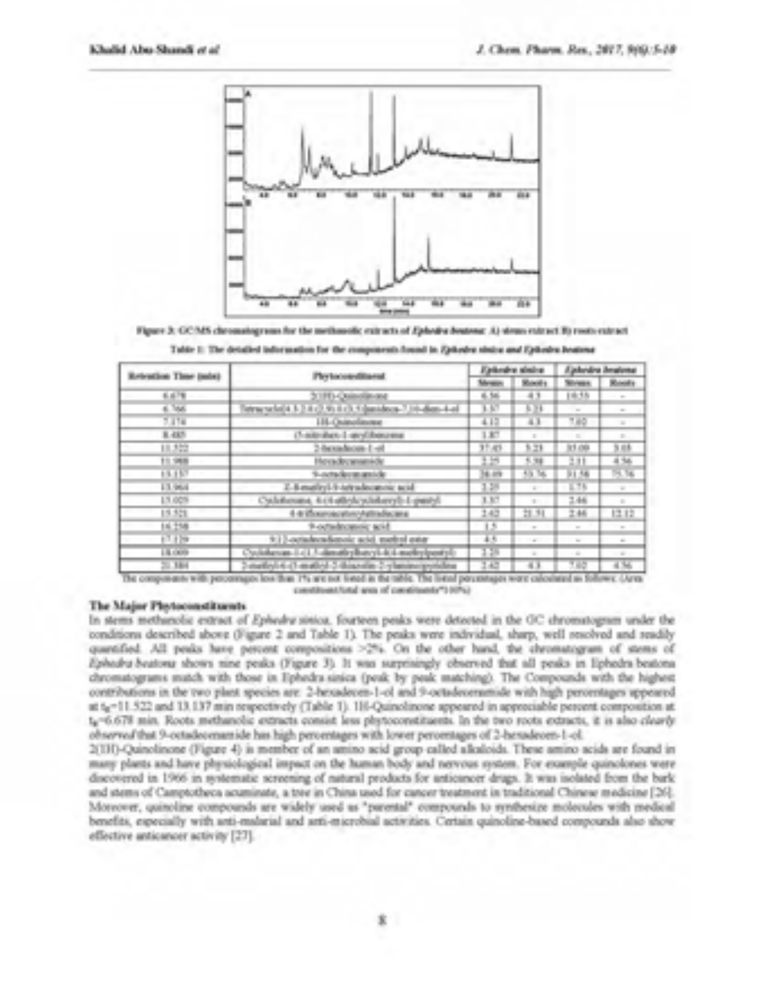

Figure 3: GCMS chromologyum for the methodolic extracts of Ephodra Bostone: A) steam extract B) roots extract

| Releation Time (mix) | Pry to conditional                                    | <b>Calleging similar</b> |                    | Aprilondina Amatismas |                |
|----------------------|-------------------------------------------------------|--------------------------|--------------------|-----------------------|----------------|
|                      |                                                       | <b>Show</b>              | <b>Manufacture</b> | <b>Streets</b>        | <b>Room</b>    |
| 6.678                | 3, ITC-Quinolin and                                   | 4.56                     | 43                 | 19,559                | <b>COLOR</b>   |
| a los                | image of (4.3.2.4.2.9) 413.4 (analyses 7.10-days 4.4) | 3.57                     | 5,73               | <b>COL</b>            | <b>STI</b>     |
| 2,414                | 111-Quincilinane                                      | 4.10                     | 43                 | 7.49                  | m.             |
| 3,485                | (5-admitses 1-anyChiosema)                            | 1,877                    |                    | ш                     | ш              |
| 日本語                  | 2-benefician-1-off                                    | 31.42                    | 2.23               | 33.00                 | 3.68           |
| 11,988               | Howky manish                                          | 3,359                    | 5.38               | 2.33                  | 4.36           |
| 13.137               | <b>Such Symmits</b>                                   | 34.05                    | 53.36              | 31.56                 | 79. Top        |
| 1.1.964              | 2.8 mailryl-9-teleschemole acid.                      | 3.29                     | <b>COLLECTION</b>  | 8.7%                  | <b>College</b> |
| 15.00%               | Cyclobosane, Archaelos/polishanyli-Lipanyli           | 3.37                     | <b>ILL</b>         | 3.46                  | H.             |
| 12.201               | 4-4-10 service that Aplitudes are                     | 3.63                     | 21.74              | 2.46                  | 13.12          |
| 14.758               | 9-octadecutors wid-<br><b>THEFT</b>                   | 12.                      | 100                | m                     | m              |
| 17.139               | 9.12-octadecadegoric acid, method over                | 45.                      | $\sim$             | <b>THE</b>            | a.             |
| 18,000               | Cyclobesian LGL/vilanatizy/hated-404-methylpanty/     | 128                      | <b>The Co</b>      | a.                    | $-10$          |
| $-1444$              | 2-nations of matter 2-himseles 2-ylaneouspytoless     | 3.40                     | ٠                  | Ta S                  | 4.740          |

Table 1: The detailed information for the components found in Zydosley states and Epitodes Instrum-

The components with percentages less than 1% are not listed in the table. The listed percentages were calculated as follows: (Area constituent lotal area of constituents\*100%).

### The Major Ple-toconstituents

In stems methanolic extract of Ephedra sittica, fourteen peaks were detected in the GC chromatogram under the conditions described above (Figure 2 and Table 1). The peaks were individual, sharp, well resolved and readily quantified. All peaks have percent compositions >2%. On the other hand, the chromatogram of stems of Ephodra beatona shows nine peaks (Figure 3). It was surprisingly observed that all peaks in Ephodra-beatona chromatograms mutch with those in Ephedra sinica (peak by peak matching). The Compounds with the highest contributions in the two plant species are: 2-becadecem-1-ol and 9-octadecemmide with high percentages specieved. at te-11.522 and 13.137 min respectively (Table 1). 1H-Quinclinene appeared in approxiable percent composition at te-6.678 min. Roots methanolic extracts consist less phytocoretitaents. In the two roots extracts, it is also clearly observed that 9-octadecenamide has high percentages with lower percentages of 2-hexadecen-1-ol.

2(1H)-Quinolinone (Figure 4) is member of an amino acid group called alkaloids. These amino acids are found in many plants and have physiological impact on the human body and nervous system. For example quinolones were discovered in 1966 in systematic sereening of natural products for anticancer drugs. It was isolated from the bark and stems of Camptotheca acuminate, a tree in China used for cancer treatment in traditional Chinese medicine [26]. Moreover, quincline compounds are widely used as "parental" compounds to rembesize molecules with medical benefits, especially with anti-malarial and anti-microbial activities. Certain quinoline-based compounds also show effective anticancer activity [27].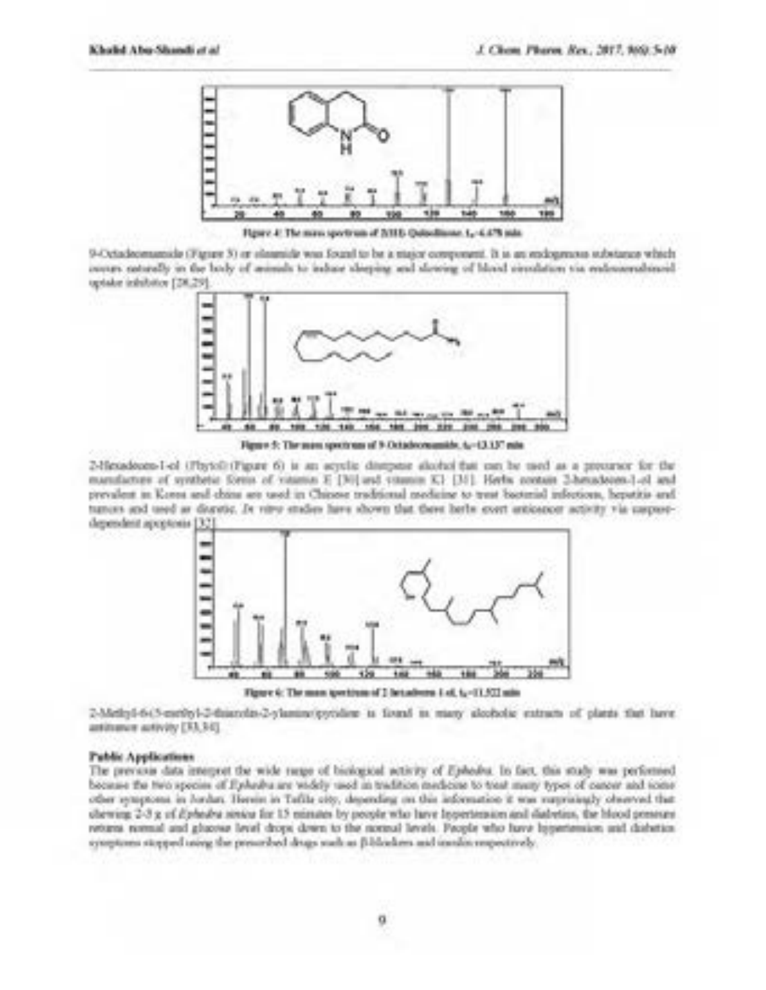

Figure 4: The mass spectrum of 2018; Quincilliance 1,-4.478 min

9-Octadeomanoide (Figure 3) or elemnide was found to be a major component. It is an endogenous substance which increase to enterthy of the state and the generals to a show the sheet also show the other as the education of uptake inhibitor [28,29].



Figure 5: The mass spectrum of 9 Octadeconomide, 6,-43.137 min.

2-Hesadeuen-I-el (Phytol) (Pigure 6) is an acyclic dismpane alcohol that can be used as a precursor for the manufacture of synthetic forein of vateries E [30] and vitamin K1 [30]. Herbs contain 2-heundecen-1-ol and prevalent in Korea and china are used in Chinese traditional medicine to treat bacterial infections, hepatitis and tumers and used as diuratic. In nine studies have shown that there herbs event anticapear activity via corportdependent apprenant [32]



Tigary 6: The man spectrum of 2 betadores 1 of, to -13.522 min

2-Methyl-6-(5-esetityl-2-thianylits-2-ylanime/eyesdient is favord at many alcoholic extracts of plants that have antitumer activity [33,34].

### Public Applications

The previous data interpret the wide range of biological activity of Ephodos. In fact, this study was performed because the two species of FlyAedra are widely used in tradition mechoice to treat many types of cureer and some other symptoms in Jordan Herein in Tafile city, depending on this information it was surprisingly observed that chewing 2-3 g of Ephodys service for 15 missues by people who have Inpertension and diabeties, the blood presence returns normal and glucour level drops down to the normal levels. People who have hypertension and dishetion cyceptoms stopped using the presented drugs such as Bibliothers and insular empectively.